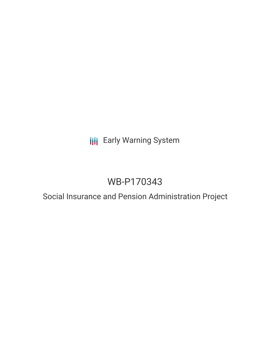## **III** Early Warning System

## WB-P170343

# Social Insurance and Pension Administration Project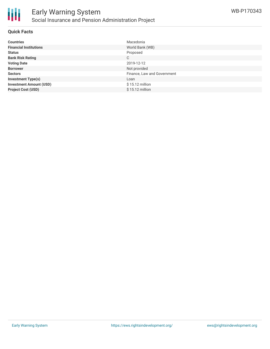

#### **Quick Facts**

| <b>Countries</b>               | Macedonia                   |
|--------------------------------|-----------------------------|
| <b>Financial Institutions</b>  | World Bank (WB)             |
| <b>Status</b>                  | Proposed                    |
| <b>Bank Risk Rating</b>        | C                           |
| <b>Voting Date</b>             | 2019-12-12                  |
| <b>Borrower</b>                | Not provided                |
| <b>Sectors</b>                 | Finance, Law and Government |
| <b>Investment Type(s)</b>      | Loan                        |
| <b>Investment Amount (USD)</b> | $$15.12$ million            |
| <b>Project Cost (USD)</b>      | $$15.12$ million            |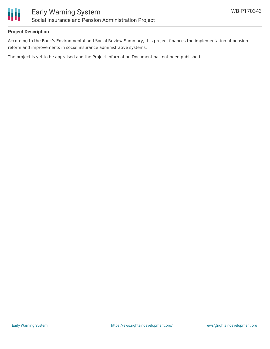

### **Project Description**

According to the Bank's Environmental and Social Review Summary, this project finances the implementation of pension reform and improvements in social insurance administrative systems.

The project is yet to be appraised and the Project Information Document has not been published.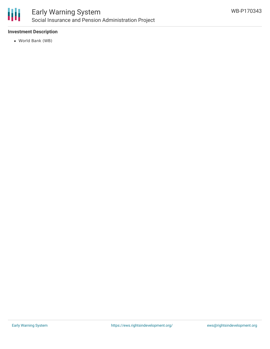

### **Investment Description**

World Bank (WB)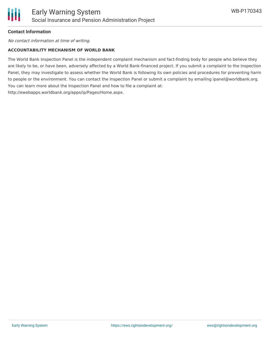

### **Contact Information**

No contact information at time of writing.

#### **ACCOUNTABILITY MECHANISM OF WORLD BANK**

The World Bank Inspection Panel is the independent complaint mechanism and fact-finding body for people who believe they are likely to be, or have been, adversely affected by a World Bank-financed project. If you submit a complaint to the Inspection Panel, they may investigate to assess whether the World Bank is following its own policies and procedures for preventing harm to people or the environment. You can contact the Inspection Panel or submit a complaint by emailing ipanel@worldbank.org. You can learn more about the Inspection Panel and how to file a complaint at: http://ewebapps.worldbank.org/apps/ip/Pages/Home.aspx.